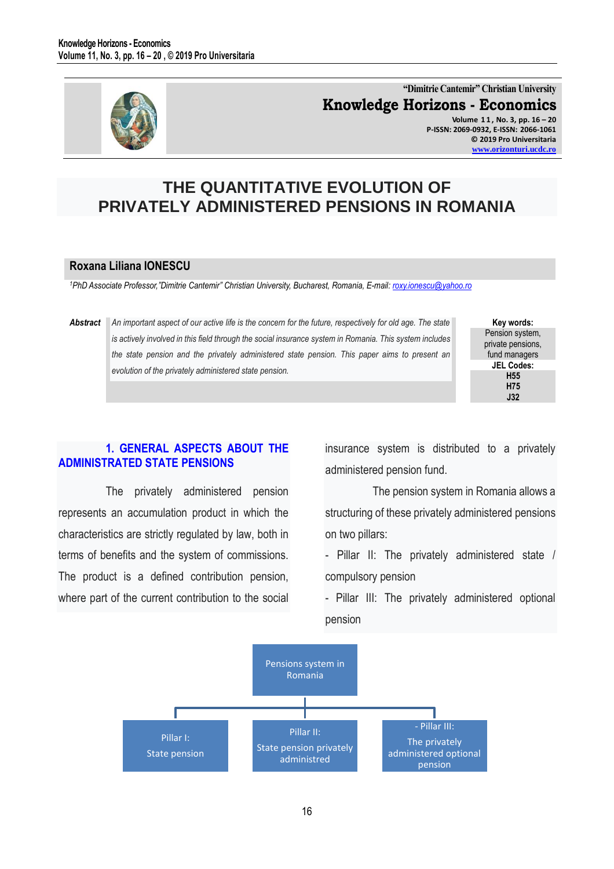

**"Dimitrie Cantemir" Christian University Knowledge Horizons - Economics Volume 1 1 , No. 3, pp. 16 – 20 P-ISSN: 2069-0932, E-ISSN: 2066-1061 © 2019 Pro Universitaria [www.orizonturi.ucdc.ro](http://www.orizonturi.ucdc.ro/)**

# **THE QUANTITATIVE EVOLUTION OF PRIVATELY ADMINISTERED PENSIONS IN ROMANIA**

#### **Roxana Liliana IONESCU**

*<sup>1</sup>PhD Associate Professor,"Dimitrie Cantemir" Christian University, Bucharest, Romania, E-mail: [roxy.ionescu@yahoo.ro](mailto:roxy.ionescu@yahoo.ro)* 

## *Abstract An important aspect of our active life is the concern for the future, respectively for old age. The state is actively involved in this field through the social insurance system in Romania. This system includes the state pension and the privately administered state pension. This paper aims to present an evolution of the privately administered state pension.*

**Key words:** Pension system, private pensions, fund managers **JEL Codes: H55 H75 J32**

## **1. GENERAL ASPECTS ABOUT THE ADMINISTRATED STATE PENSIONS**

The privately administered pension represents an accumulation product in which the characteristics are strictly regulated by law, both in terms of benefits and the system of commissions. The product is a defined contribution pension, where part of the current contribution to the social

insurance system is distributed to a privately administered pension fund.

The pension system in Romania allows a structuring of these privately administered pensions on two pillars:

- Pillar II: The privately administered state / compulsory pension

- Pillar III: The privately administered optional pension

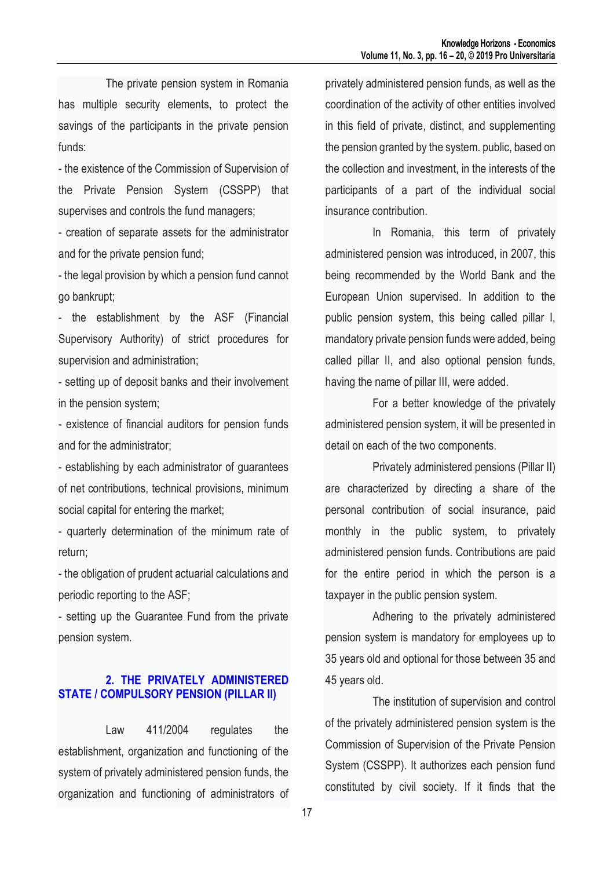The private pension system in Romania has multiple security elements, to protect the savings of the participants in the private pension funds:

- the existence of the Commission of Supervision of the Private Pension System (CSSPP) that supervises and controls the fund managers;

- creation of separate assets for the administrator and for the private pension fund;

- the legal provision by which a pension fund cannot go bankrupt;

- the establishment by the ASF (Financial Supervisory Authority) of strict procedures for supervision and administration;

- setting up of deposit banks and their involvement in the pension system;

- existence of financial auditors for pension funds and for the administrator;

- establishing by each administrator of guarantees of net contributions, technical provisions, minimum social capital for entering the market;

- quarterly determination of the minimum rate of return;

- the obligation of prudent actuarial calculations and periodic reporting to the ASF;

- setting up the Guarantee Fund from the private pension system.

## **2. THE PRIVATELY ADMINISTERED STATE / COMPULSORY PENSION (PILLAR II)**

Law 411/2004 regulates the establishment, organization and functioning of the system of privately administered pension funds, the organization and functioning of administrators of

privately administered pension funds, as well as the coordination of the activity of other entities involved in this field of private, distinct, and supplementing the pension granted by the system. public, based on the collection and investment, in the interests of the participants of a part of the individual social insurance contribution.

In Romania, this term of privately administered pension was introduced, in 2007, this being recommended by the World Bank and the European Union supervised. In addition to the public pension system, this being called pillar I, mandatory private pension funds were added, being called pillar II, and also optional pension funds, having the name of pillar III, were added.

For a better knowledge of the privately administered pension system, it will be presented in detail on each of the two components.

Privately administered pensions (Pillar II) are characterized by directing a share of the personal contribution of social insurance, paid monthly in the public system, to privately administered pension funds. Contributions are paid for the entire period in which the person is a taxpayer in the public pension system.

Adhering to the privately administered pension system is mandatory for employees up to 35 years old and optional for those between 35 and 45 years old.

The institution of supervision and control of the privately administered pension system is the Commission of Supervision of the Private Pension System (CSSPP). It authorizes each pension fund constituted by civil society. If it finds that the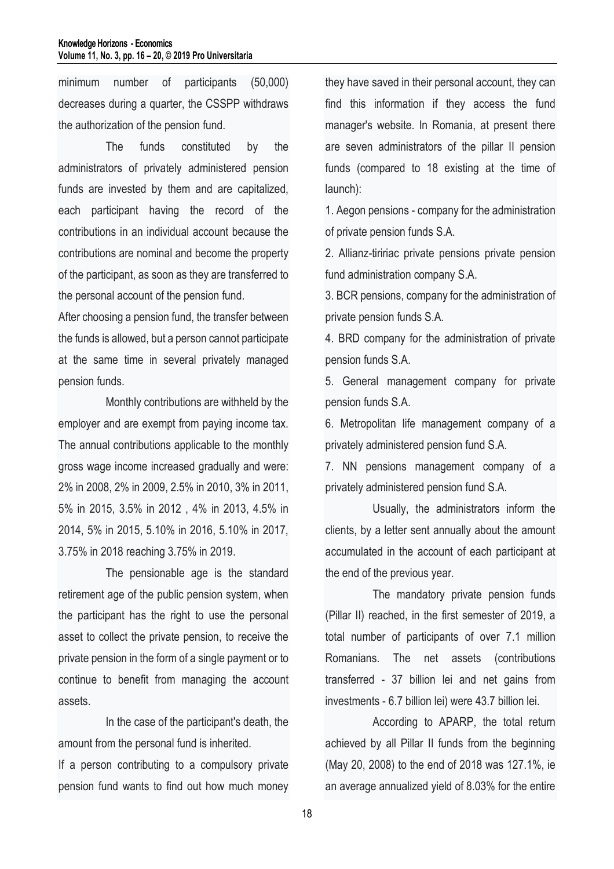minimum number of participants (50,000) decreases during a quarter, the CSSPP withdraws the authorization of the pension fund.

The funds constituted by the administrators of privately administered pension funds are invested by them and are capitalized, each participant having the record of the contributions in an individual account because the contributions are nominal and become the property of the participant, as soon as they are transferred to the personal account of the pension fund.

After choosing a pension fund, the transfer between the funds is allowed, but a person cannot participate at the same time in several privately managed pension funds.

Monthly contributions are withheld by the employer and are exempt from paying income tax. The annual contributions applicable to the monthly gross wage income increased gradually and were: 2% in 2008, 2% in 2009, 2.5% in 2010, 3% in 2011, 5% in 2015, 3.5% in 2012 , 4% in 2013, 4.5% in 2014, 5% in 2015, 5.10% in 2016, 5.10% in 2017, 3.75% in 2018 reaching 3.75% in 2019.

The pensionable age is the standard retirement age of the public pension system, when the participant has the right to use the personal asset to collect the private pension, to receive the private pension in the form of a single payment or to continue to benefit from managing the account assets.

In the case of the participant's death, the amount from the personal fund is inherited.

If a person contributing to a compulsory private pension fund wants to find out how much money they have saved in their personal account, they can find this information if they access the fund manager's website. In Romania, at present there are seven administrators of the pillar II pension funds (compared to 18 existing at the time of launch):

1. Aegon pensions - company for the administration of private pension funds S.A.

2. Allianz-tiririac private pensions private pension fund administration company S.A.

3. BCR pensions, company for the administration of private pension funds S.A.

4. BRD company for the administration of private pension funds S.A.

5. General management company for private pension funds S.A.

6. Metropolitan life management company of a privately administered pension fund S.A.

7. NN pensions management company of a privately administered pension fund S.A.

Usually, the administrators inform the clients, by a letter sent annually about the amount accumulated in the account of each participant at the end of the previous year.

The mandatory private pension funds (Pillar II) reached, in the first semester of 2019, a total number of participants of over 7.1 million Romanians. The net assets (contributions transferred - 37 billion lei and net gains from investments - 6.7 billion lei) were 43.7 billion lei.

According to APARP, the total return achieved by all Pillar II funds from the beginning (May 20, 2008) to the end of 2018 was 127.1%, ie an average annualized yield of 8.03% for the entire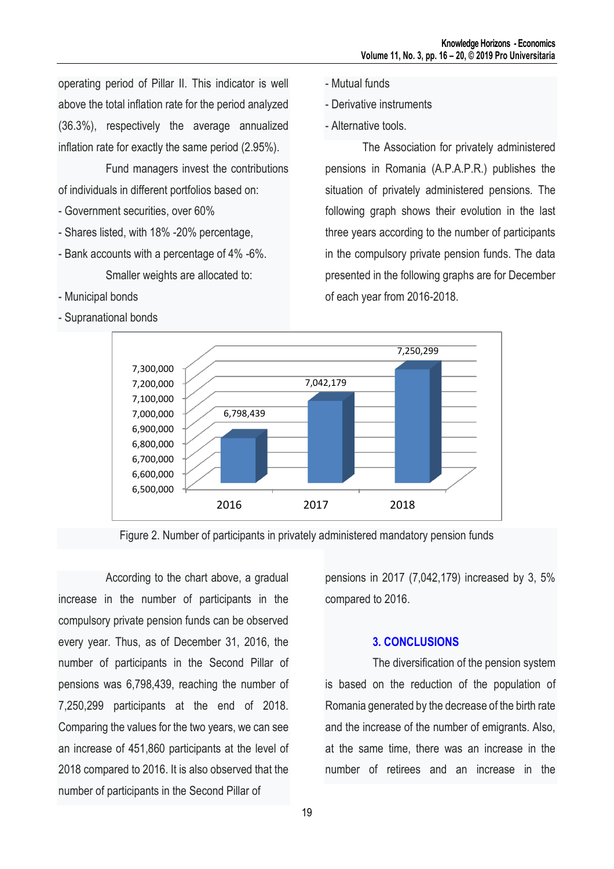operating period of Pillar II. This indicator is well above the total inflation rate for the period analyzed (36.3%), respectively the average annualized inflation rate for exactly the same period (2.95%).

Fund managers invest the contributions of individuals in different portfolios based on:

- Government securities, over 60%
- Shares listed, with 18% -20% percentage,
- Bank accounts with a percentage of 4% -6%. Smaller weights are allocated to:
- Municipal bonds
- Supranational bonds
- Mutual funds
- Derivative instruments
- Alternative tools.

The Association for privately administered pensions in Romania (A.P.A.P.R.) publishes the situation of privately administered pensions. The following graph shows their evolution in the last three years according to the number of participants in the compulsory private pension funds. The data presented in the following graphs are for December of each year from 2016-2018.





According to the chart above, a gradual increase in the number of participants in the compulsory private pension funds can be observed every year. Thus, as of December 31, 2016, the number of participants in the Second Pillar of pensions was 6,798,439, reaching the number of 7,250,299 participants at the end of 2018. Comparing the values for the two years, we can see an increase of 451,860 participants at the level of 2018 compared to 2016. It is also observed that the number of participants in the Second Pillar of

pensions in 2017 (7,042,179) increased by 3, 5% compared to 2016.

#### **3. CONCLUSIONS**

The diversification of the pension system is based on the reduction of the population of Romania generated by the decrease of the birth rate and the increase of the number of emigrants. Also, at the same time, there was an increase in the number of retirees and an increase in the